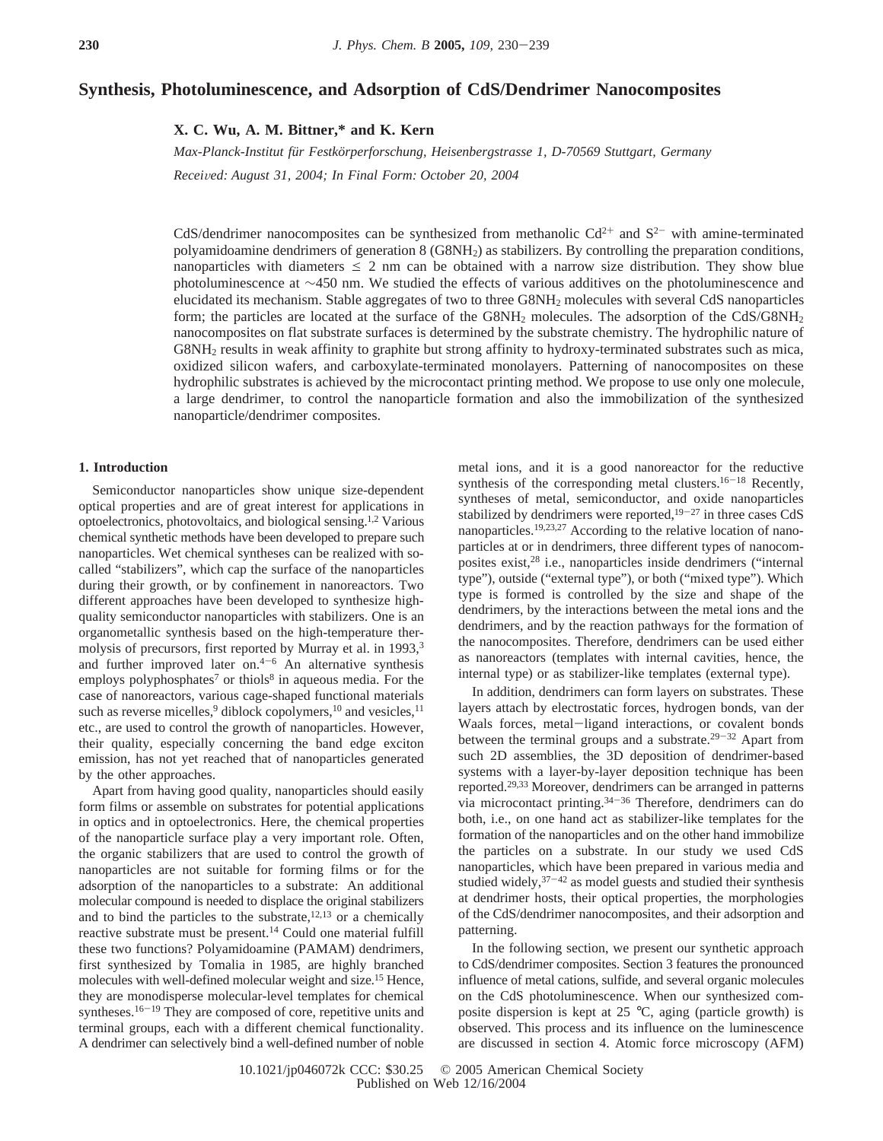# **Synthesis, Photoluminescence, and Adsorption of CdS/Dendrimer Nanocomposites**

**X. C. Wu, A. M. Bittner,\* and K. Kern**

*Max-Planck-Institut fu¨r Festko¨rperforschung, Heisenbergstrasse 1, D-70569 Stuttgart, Germany Recei*V*ed: August 31, 2004; In Final Form: October 20, 2004*

CdS/dendrimer nanocomposites can be synthesized from methanolic  $Cd^{2+}$  and  $S^{2-}$  with amine-terminated polyamidoamine dendrimers of generation 8 (G8NH2) as stabilizers. By controlling the preparation conditions, nanoparticles with diameters  $\leq 2$  nm can be obtained with a narrow size distribution. They show blue photoluminescence at ∼450 nm. We studied the effects of various additives on the photoluminescence and elucidated its mechanism. Stable aggregates of two to three G8NH2 molecules with several CdS nanoparticles form; the particles are located at the surface of the G8NH<sub>2</sub> molecules. The adsorption of the CdS/G8NH<sub>2</sub> nanocomposites on flat substrate surfaces is determined by the substrate chemistry. The hydrophilic nature of G8NH2 results in weak affinity to graphite but strong affinity to hydroxy-terminated substrates such as mica, oxidized silicon wafers, and carboxylate-terminated monolayers. Patterning of nanocomposites on these hydrophilic substrates is achieved by the microcontact printing method. We propose to use only one molecule, a large dendrimer, to control the nanoparticle formation and also the immobilization of the synthesized nanoparticle/dendrimer composites.

### **1. Introduction**

Semiconductor nanoparticles show unique size-dependent optical properties and are of great interest for applications in optoelectronics, photovoltaics, and biological sensing.1,2 Various chemical synthetic methods have been developed to prepare such nanoparticles. Wet chemical syntheses can be realized with socalled "stabilizers", which cap the surface of the nanoparticles during their growth, or by confinement in nanoreactors. Two different approaches have been developed to synthesize highquality semiconductor nanoparticles with stabilizers. One is an organometallic synthesis based on the high-temperature thermolysis of precursors, first reported by Murray et al. in 1993,<sup>3</sup> and further improved later on. $4-6$  An alternative synthesis employs polyphosphates<sup>7</sup> or thiols<sup>8</sup> in aqueous media. For the case of nanoreactors, various cage-shaped functional materials such as reverse micelles,<sup>9</sup> diblock copolymers,<sup>10</sup> and vesicles,<sup>11</sup> etc., are used to control the growth of nanoparticles. However, their quality, especially concerning the band edge exciton emission, has not yet reached that of nanoparticles generated by the other approaches.

Apart from having good quality, nanoparticles should easily form films or assemble on substrates for potential applications in optics and in optoelectronics. Here, the chemical properties of the nanoparticle surface play a very important role. Often, the organic stabilizers that are used to control the growth of nanoparticles are not suitable for forming films or for the adsorption of the nanoparticles to a substrate: An additional molecular compound is needed to displace the original stabilizers and to bind the particles to the substrate, $12,13$  or a chemically reactive substrate must be present.14 Could one material fulfill these two functions? Polyamidoamine (PAMAM) dendrimers, first synthesized by Tomalia in 1985, are highly branched molecules with well-defined molecular weight and size.15 Hence, they are monodisperse molecular-level templates for chemical syntheses.<sup>16-19</sup> They are composed of core, repetitive units and terminal groups, each with a different chemical functionality. A dendrimer can selectively bind a well-defined number of noble metal ions, and it is a good nanoreactor for the reductive synthesis of the corresponding metal clusters.<sup>16-18</sup> Recently, syntheses of metal, semiconductor, and oxide nanoparticles stabilized by dendrimers were reported, $19-27$  in three cases CdS nanoparticles.19,23,27 According to the relative location of nanoparticles at or in dendrimers, three different types of nanocomposites exist,28 i.e., nanoparticles inside dendrimers ("internal type"), outside ("external type"), or both ("mixed type"). Which type is formed is controlled by the size and shape of the dendrimers, by the interactions between the metal ions and the dendrimers, and by the reaction pathways for the formation of the nanocomposites. Therefore, dendrimers can be used either as nanoreactors (templates with internal cavities, hence, the internal type) or as stabilizer-like templates (external type).

In addition, dendrimers can form layers on substrates. These layers attach by electrostatic forces, hydrogen bonds, van der Waals forces, metal-ligand interactions, or covalent bonds<br>between the terminal groups and a substrate.<sup>29-32</sup> Apart from such 2D assemblies, the 3D deposition of dendrimer-based systems with a layer-by-layer deposition technique has been reported.29,33 Moreover, dendrimers can be arranged in patterns via microcontact printing.34-<sup>36</sup> Therefore, dendrimers can do both, i.e., on one hand act as stabilizer-like templates for the formation of the nanoparticles and on the other hand immobilize the particles on a substrate. In our study we used CdS nanoparticles, which have been prepared in various media and studied widely, $37-42$  as model guests and studied their synthesis at dendrimer hosts, their optical properties, the morphologies of the CdS/dendrimer nanocomposites, and their adsorption and patterning.

In the following section, we present our synthetic approach to CdS/dendrimer composites. Section 3 features the pronounced influence of metal cations, sulfide, and several organic molecules on the CdS photoluminescence. When our synthesized composite dispersion is kept at 25 °C, aging (particle growth) is observed. This process and its influence on the luminescence are discussed in section 4. Atomic force microscopy (AFM)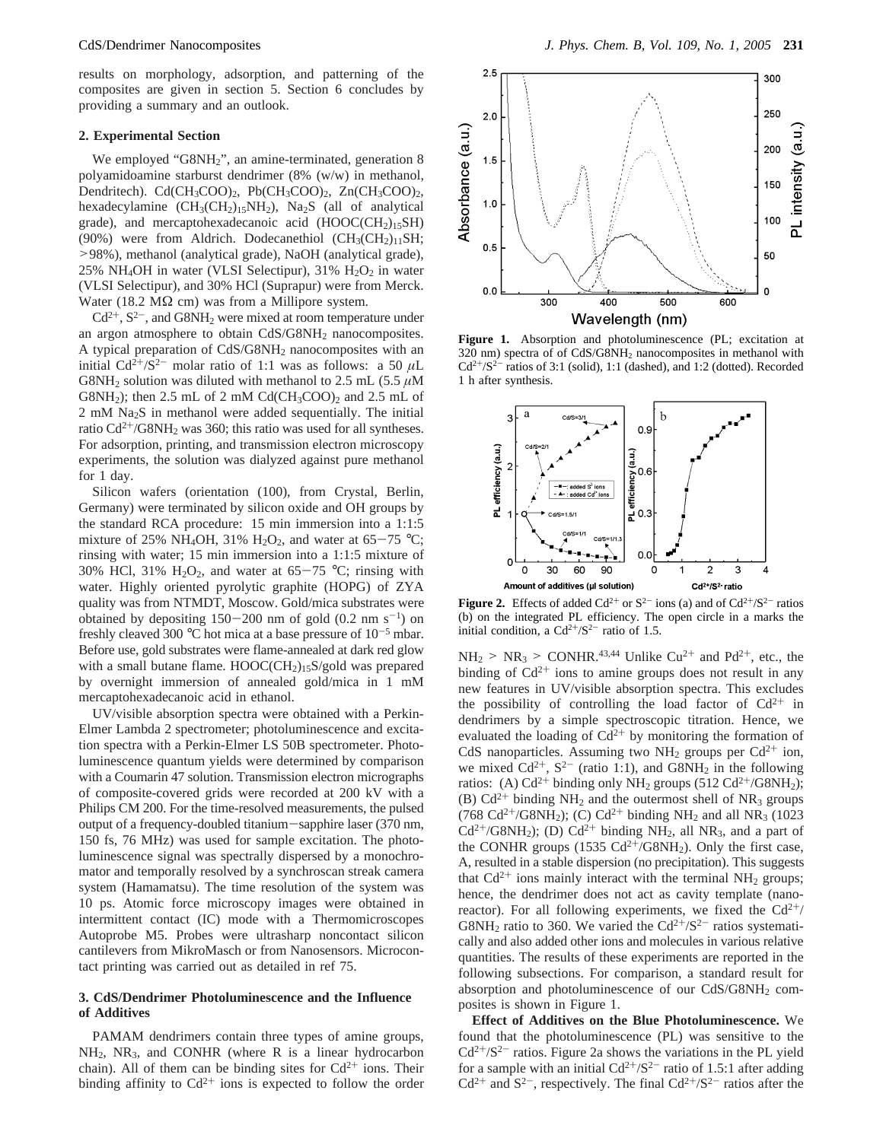results on morphology, adsorption, and patterning of the composites are given in section 5. Section 6 concludes by providing a summary and an outlook.

#### **2. Experimental Section**

We employed "G8NH<sub>2</sub>", an amine-terminated, generation 8 polyamidoamine starburst dendrimer (8% (w/w) in methanol, Dendritech). Cd(CH<sub>3</sub>COO)<sub>2</sub>, Pb(CH<sub>3</sub>COO)<sub>2</sub>, Zn(CH<sub>3</sub>COO)<sub>2</sub>, hexadecylamine  $(CH_3(CH_2)_{15}NH_2)$ , Na<sub>2</sub>S (all of analytical grade), and mercaptohexadecanoic acid  $(HOOC(CH<sub>2</sub>)<sub>15</sub>SH)$ (90%) were from Aldrich. Dodecanethiol ( $CH<sub>3</sub>(CH<sub>2</sub>)<sub>11</sub>SH$ ; >98%), methanol (analytical grade), NaOH (analytical grade), 25% NH<sub>4</sub>OH in water (VLSI Selectipur), 31%  $H_2O_2$  in water (VLSI Selectipur), and 30% HCl (Suprapur) were from Merck. Water (18.2 M $\Omega$  cm) was from a Millipore system.

 $Cd^{2+}$ ,  $S^{2-}$ , and  $GSNH_2$  were mixed at room temperature under an argon atmosphere to obtain CdS/G8NH<sub>2</sub> nanocomposites. A typical preparation of  $CdS/G8NH<sub>2</sub>$  nanocomposites with an initial  $Cd^{2+}/S^{2-}$  molar ratio of 1:1 was as follows: a 50  $\mu$ L G8NH<sub>2</sub> solution was diluted with methanol to 2.5 mL (5.5  $\mu$ M G8NH<sub>2</sub>); then 2.5 mL of 2 mM Cd(CH<sub>3</sub>COO)<sub>2</sub> and 2.5 mL of  $2 \text{ mM }$  Na<sub>2</sub>S in methanol were added sequentially. The initial ratio  $Cd^{2+}/G8NH_2$  was 360; this ratio was used for all syntheses. For adsorption, printing, and transmission electron microscopy experiments, the solution was dialyzed against pure methanol for 1 day.

Silicon wafers (orientation (100), from Crystal, Berlin, Germany) were terminated by silicon oxide and OH groups by the standard RCA procedure: 15 min immersion into a 1:1:5 mixture of 25% NH<sub>4</sub>OH, 31% H<sub>2</sub>O<sub>2</sub>, and water at 65-75 °C; rinsing with water; 15 min immersion into a 1:1:5 mixture of 30% HCl, 31% H<sub>2</sub>O<sub>2</sub>, and water at 65-75 °C; rinsing with water. Highly oriented pyrolytic graphite (HOPG) of ZYA quality was from NTMDT, Moscow. Gold/mica substrates were obtained by depositing  $150-200$  nm of gold  $(0.2 \text{ nm s}^{-1})$  on freshly cleaved 300  $\degree$ C hot mica at a base pressure of 10<sup>-5</sup> mbar. Before use, gold substrates were flame-annealed at dark red glow with a small butane flame. HOOC(CH<sub>2</sub>)<sub>15</sub>S/gold was prepared by overnight immersion of annealed gold/mica in 1 mM mercaptohexadecanoic acid in ethanol.

UV/visible absorption spectra were obtained with a Perkin-Elmer Lambda 2 spectrometer; photoluminescence and excitation spectra with a Perkin-Elmer LS 50B spectrometer. Photoluminescence quantum yields were determined by comparison with a Coumarin 47 solution. Transmission electron micrographs of composite-covered grids were recorded at 200 kV with a Philips CM 200. For the time-resolved measurements, the pulsed output of a frequency-doubled titanium-sapphire laser (370 nm, 150 fs, 76 MHz) was used for sample excitation. The photoluminescence signal was spectrally dispersed by a monochromator and temporally resolved by a synchroscan streak camera system (Hamamatsu). The time resolution of the system was 10 ps. Atomic force microscopy images were obtained in intermittent contact (IC) mode with a Thermomicroscopes Autoprobe M5. Probes were ultrasharp noncontact silicon cantilevers from MikroMasch or from Nanosensors. Microcontact printing was carried out as detailed in ref 75.

## **3. CdS/Dendrimer Photoluminescence and the Influence of Additives**

PAMAM dendrimers contain three types of amine groups, NH2, NR3, and CONHR (where R is a linear hydrocarbon chain). All of them can be binding sites for  $Cd^{2+}$  ions. Their binding affinity to  $Cd^{2+}$  ions is expected to follow the order



Figure 1. Absorption and photoluminescence (PL; excitation at 320 nm) spectra of of CdS/G8NH2 nanocomposites in methanol with  $Cd^{2+/}S^{2-}$  ratios of 3:1 (solid), 1:1 (dashed), and 1:2 (dotted). Recorded 1 h after synthesis.



**Figure 2.** Effects of added  $Cd^{2+}$  or  $S^{2-}$  ions (a) and of  $Cd^{2+}/S^{2-}$  ratios (b) on the integrated PL efficiency. The open circle in a marks the initial condition, a  $Cd^{2+}/S^{2-}$  ratio of 1.5.

 $NH<sub>2</sub>$  > NR<sub>3</sub> > CONHR.<sup>43,44</sup> Unlike Cu<sup>2+</sup> and Pd<sup>2+</sup>, etc., the binding of  $Cd^{2+}$  ions to amine groups does not result in any new features in UV/visible absorption spectra. This excludes the possibility of controlling the load factor of  $Cd^{2+}$  in dendrimers by a simple spectroscopic titration. Hence, we evaluated the loading of  $Cd^{2+}$  by monitoring the formation of CdS nanoparticles. Assuming two NH<sub>2</sub> groups per Cd<sup>2+</sup> ion, we mixed  $Cd^{2+}$ ,  $S^{2-}$  (ratio 1:1), and  $GSNH_2$  in the following ratios: (A)  $Cd^{2+}$  binding only NH<sub>2</sub> groups (512  $Cd^{2+}/G8NH_2$ ); (B)  $Cd^{2+}$  binding NH<sub>2</sub> and the outermost shell of NR<sub>3</sub> groups (768 Cd<sup>2+</sup>/G8NH<sub>2</sub>); (C) Cd<sup>2+</sup> binding NH<sub>2</sub> and all NR<sub>3</sub> (1023)  $Cd^{2+}/G8NH_2$ ); (D)  $Cd^{2+}$  binding NH<sub>2</sub>, all NR<sub>3</sub>, and a part of the CONHR groups (1535  $Cd^{2+}/G8NH_2$ ). Only the first case, A, resulted in a stable dispersion (no precipitation). This suggests that  $Cd^{2+}$  ions mainly interact with the terminal NH<sub>2</sub> groups; hence, the dendrimer does not act as cavity template (nanoreactor). For all following experiments, we fixed the  $Cd^{2+}/$ G8NH<sub>2</sub> ratio to 360. We varied the  $Cd^{2+}/S^{2-}$  ratios systematically and also added other ions and molecules in various relative quantities. The results of these experiments are reported in the following subsections. For comparison, a standard result for absorption and photoluminescence of our CdS/G8NH<sub>2</sub> composites is shown in Figure 1.

**Effect of Additives on the Blue Photoluminescence.** We found that the photoluminescence (PL) was sensitive to the  $Cd^{2+}/S^{2-}$  ratios. Figure 2a shows the variations in the PL yield for a sample with an initial  $Cd^{2+/}S^{2-}$  ratio of 1.5:1 after adding  $Cd^{2+}$  and  $S^{2-}$ , respectively. The final  $Cd^{2+}/S^{2-}$  ratios after the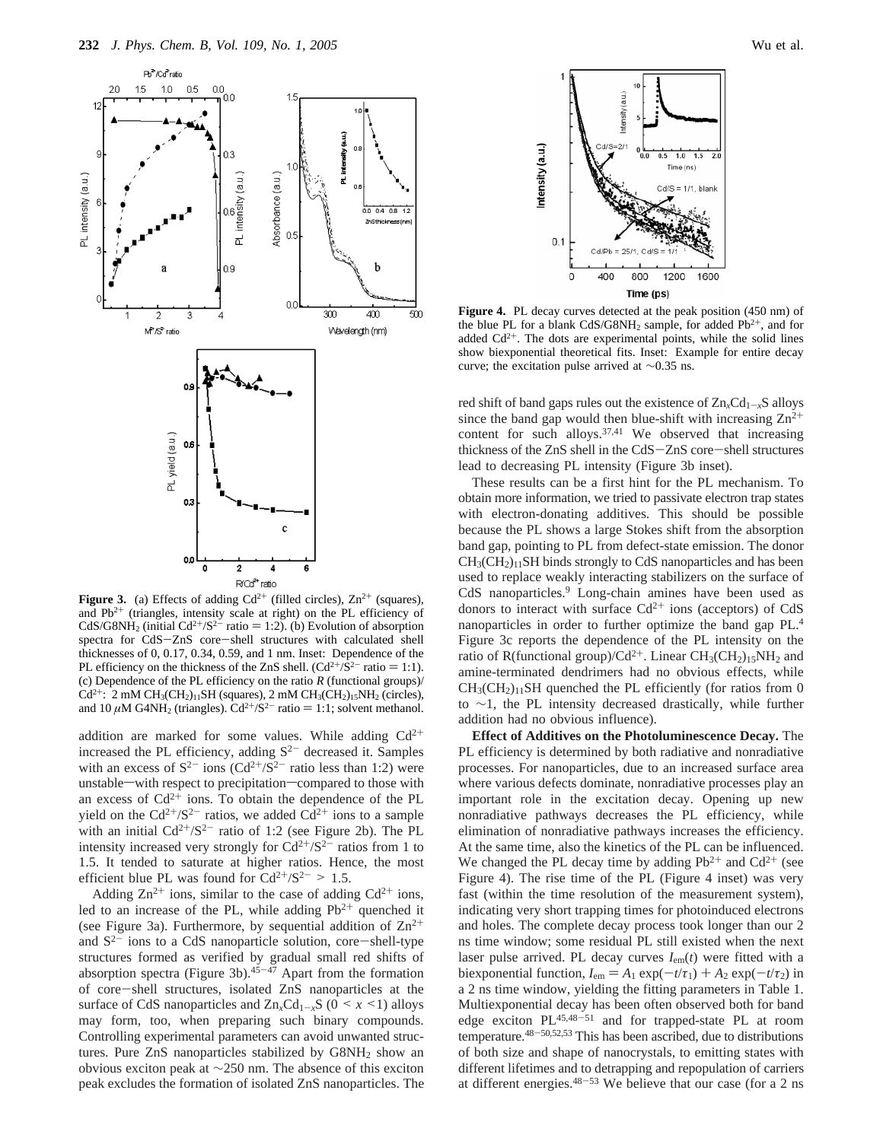

**Figure 3.** (a) Effects of adding  $Cd^{2+}$  (filled circles),  $Zn^{2+}$  (squares), and  $Pb^{2+}$  (triangles, intensity scale at right) on the PL efficiency of CdS/G8NH<sub>2</sub> (initial Cd<sup>2+</sup>/S<sup>2-</sup> ratio = 1:2). (b) Evolution of absorption spectra for CdS-ZnS core-shell structures with calculated shell thicknesses of 0, 0.17, 0.34, 0.59, and 1 nm. Inset: Dependence of the PL efficiency on the thickness of the ZnS shell.  $(Cd^{2+}/S^{2-})$  ratio = 1:1). (c) Dependence of the PL efficiency on the ratio *R* (functional groups)/  $Cd^{2+}$ : 2 mM CH<sub>3</sub>(CH<sub>2</sub>)<sub>11</sub>SH (squares), 2 mM CH<sub>3</sub>(CH<sub>2</sub>)<sub>15</sub>NH<sub>2</sub> (circles), and 10  $\mu$ M G4NH<sub>2</sub> (triangles). Cd<sup>2+</sup>/S<sup>2-</sup> ratio = 1:1; solvent methanol.

addition are marked for some values. While adding  $Cd^{2+}$ increased the PL efficiency, adding  $S^{2-}$  decreased it. Samples with an excess of  $S^{2-}$  ions (Cd<sup>2+</sup>/S<sup>2-</sup> ratio less than 1:2) were unstable—with respect to precipitation—compared to those with an excess of  $Cd^{2+}$  ions. To obtain the dependence of the PL yield on the  $Cd^{2+}/S^{2-}$  ratios, we added  $Cd^{2+}$  ions to a sample with an initial  $Cd^{2+}/S^{2-}$  ratio of 1:2 (see Figure 2b). The PL intensity increased very strongly for  $Cd^{2+/}S^{2-}$  ratios from 1 to 1.5. It tended to saturate at higher ratios. Hence, the most efficient blue PL was found for  $Cd^{2+}/S^{2-} > 1.5$ .

Adding  $\text{Zn}^{2+}$  ions, similar to the case of adding  $\text{Cd}^{2+}$  ions, led to an increase of the PL, while adding  $Pb^{2+}$  quenched it (see Figure 3a). Furthermore, by sequential addition of  $\text{Zn}^{2+}$ and  $S^{2-}$  ions to a CdS nanoparticle solution, core-shell-type structures formed as verified by gradual small red shifts of absorption spectra (Figure 3b).<sup>45-47</sup> Apart from the formation of core-shell structures, isolated ZnS nanoparticles at the surface of CdS nanoparticles and  $\text{Zn}_x\text{Cd}_{1-x}\text{S}$  (0 < *x* <1) alloys may form, too, when preparing such binary compounds. Controlling experimental parameters can avoid unwanted structures. Pure ZnS nanoparticles stabilized by G8NH<sub>2</sub> show an obvious exciton peak at ∼250 nm. The absence of this exciton peak excludes the formation of isolated ZnS nanoparticles. The



Figure 4. PL decay curves detected at the peak position (450 nm) of the blue PL for a blank CdS/G8NH<sub>2</sub> sample, for added Pb<sup>2+</sup>, and for added  $Cd^{2+}$ . The dots are experimental points, while the solid lines show biexponential theoretical fits. Inset: Example for entire decay curve; the excitation pulse arrived at ∼0.35 ns.

red shift of band gaps rules out the existence of  $Zn<sub>x</sub>Cd<sub>1-x</sub>S$  alloys since the band gap would then blue-shift with increasing  $\text{Zn}^{2+}$ content for such alloys.<sup>37,41</sup> We observed that increasing thickness of the ZnS shell in the CdS-ZnS core-shell structures lead to decreasing PL intensity (Figure 3b inset).

These results can be a first hint for the PL mechanism. To obtain more information, we tried to passivate electron trap states with electron-donating additives. This should be possible because the PL shows a large Stokes shift from the absorption band gap, pointing to PL from defect-state emission. The donor  $CH<sub>3</sub>(CH<sub>2</sub>)<sub>11</sub>SH$  binds strongly to CdS nanoparticles and has been used to replace weakly interacting stabilizers on the surface of CdS nanoparticles.<sup>9</sup> Long-chain amines have been used as donors to interact with surface  $Cd^{2+}$  ions (acceptors) of  $CdS$ nanoparticles in order to further optimize the band gap PL.4 Figure 3c reports the dependence of the PL intensity on the ratio of R(functional group)/Cd<sup>2+</sup>. Linear CH<sub>3</sub>(CH<sub>2</sub>)<sub>15</sub>NH<sub>2</sub> and amine-terminated dendrimers had no obvious effects, while  $CH<sub>3</sub>(CH<sub>2</sub>)<sub>11</sub>SH$  quenched the PL efficiently (for ratios from 0 to ∼1, the PL intensity decreased drastically, while further addition had no obvious influence).

**Effect of Additives on the Photoluminescence Decay.** The PL efficiency is determined by both radiative and nonradiative processes. For nanoparticles, due to an increased surface area where various defects dominate, nonradiative processes play an important role in the excitation decay. Opening up new nonradiative pathways decreases the PL efficiency, while elimination of nonradiative pathways increases the efficiency. At the same time, also the kinetics of the PL can be influenced. We changed the PL decay time by adding  $Pb^{2+}$  and  $Cd^{2+}$  (see Figure 4). The rise time of the PL (Figure 4 inset) was very fast (within the time resolution of the measurement system), indicating very short trapping times for photoinduced electrons and holes. The complete decay process took longer than our 2 ns time window; some residual PL still existed when the next laser pulse arrived. PL decay curves *I*em(*t*) were fitted with a biexponential function,  $I_{em} = A_1 \exp(-t/\tau_1) + A_2 \exp(-t/\tau_2)$  in a 2 ns time window, yielding the fitting parameters in Table 1. Multiexponential decay has been often observed both for band edge exciton PL45,48-<sup>51</sup> and for trapped-state PL at room temperature.48-50,52,53 This has been ascribed, due to distributions of both size and shape of nanocrystals, to emitting states with different lifetimes and to detrapping and repopulation of carriers at different energies. $48-53$  We believe that our case (for a 2 ns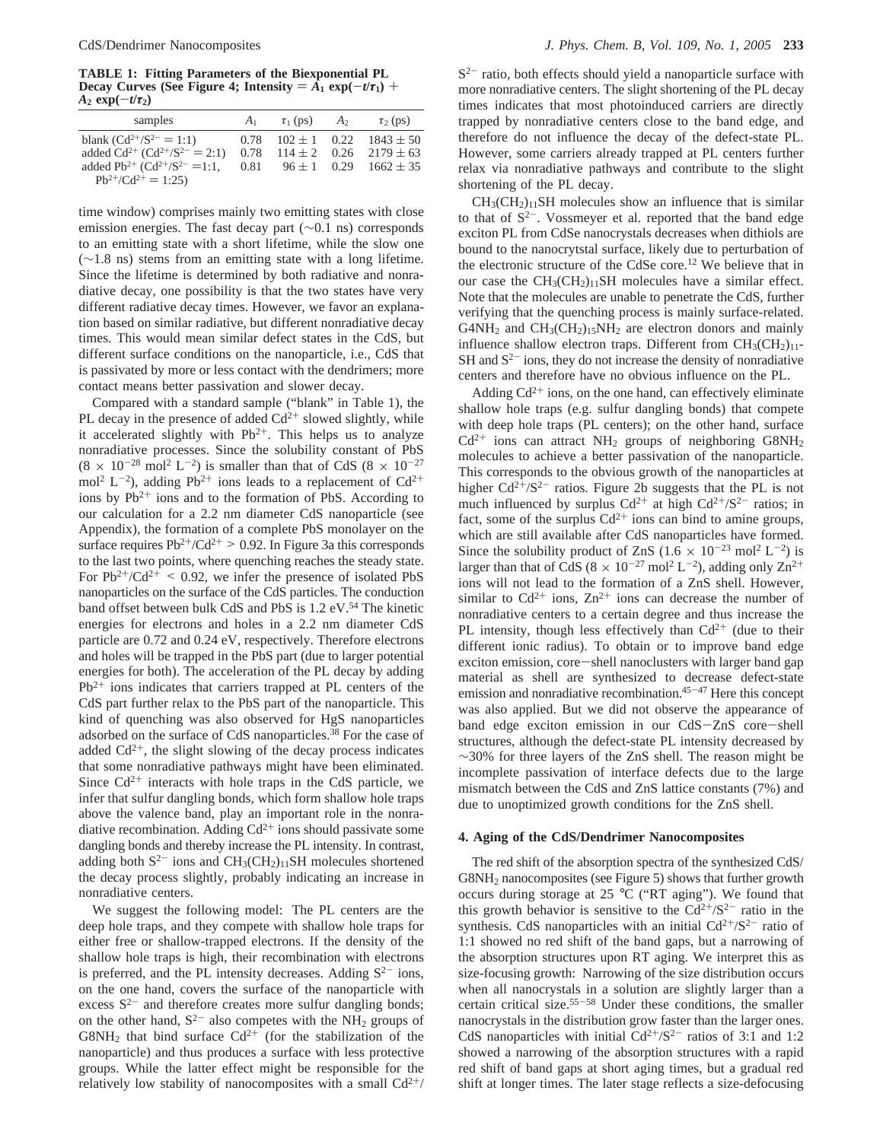**TABLE 1: Fitting Parameters of the Biexponential PL Decay Curves (See Figure 4; Intensity** =  $\overline{A}_1$  **exp**( $-t/\tau_1$ ) +  $A_2 \exp(-t/\tau_2)$ 

| samples                                                                                                                                                                 | A <sub>1</sub> | $\tau_1$ (ps) $A_2$ | $\tau_2$ (ps)                                                                                                       |
|-------------------------------------------------------------------------------------------------------------------------------------------------------------------------|----------------|---------------------|---------------------------------------------------------------------------------------------------------------------|
| blank $(Cd^{2+}/S^{2-} = 1:1)$<br>added $Cd^{2+} (Cd^{2+}/S^{2-} = 2:1)$<br>added Pb <sup>2+</sup> (Cd <sup>2+</sup> /S <sup>2-</sup> =1:1,<br>$Pb^{2+}/Cd^{2+} = 1:25$ | 0.78           |                     | $102 \pm 1$ 0.22 $1843 \pm 50$<br>$0.78$ $114 \pm 2$ $0.26$ $2179 \pm 63$<br>$0.81$ $96 \pm 1$ $0.29$ $1662 \pm 35$ |
|                                                                                                                                                                         |                |                     |                                                                                                                     |

time window) comprises mainly two emitting states with close emission energies. The fast decay part (∼0.1 ns) corresponds to an emitting state with a short lifetime, while the slow one (∼1.8 ns) stems from an emitting state with a long lifetime. Since the lifetime is determined by both radiative and nonradiative decay, one possibility is that the two states have very different radiative decay times. However, we favor an explanation based on similar radiative, but different nonradiative decay times. This would mean similar defect states in the CdS, but different surface conditions on the nanoparticle, i.e., CdS that is passivated by more or less contact with the dendrimers; more contact means better passivation and slower decay.

Compared with a standard sample ("blank" in Table 1), the PL decay in the presence of added  $Cd^{2+}$  slowed slightly, while it accelerated slightly with  $Pb^{2+}$ . This helps us to analyze nonradiative processes. Since the solubility constant of PbS  $(8 \times 10^{-28} \text{ mol}^2 \text{ L}^{-2})$  is smaller than that of CdS  $(8 \times 10^{-27} \text{ A})$ mol<sup>2</sup> L<sup>-2</sup>), adding Pb<sup>2+</sup> ions leads to a replacement of Cd<sup>2+</sup> ions by  $Pb^{2+}$  ions and to the formation of PbS. According to our calculation for a 2.2 nm diameter CdS nanoparticle (see Appendix), the formation of a complete PbS monolayer on the surface requires  $Pb^{2+}/Cd^{2+}$  > 0.92. In Figure 3a this corresponds to the last two points, where quenching reaches the steady state. For  $Pb^{2+}/Cd^{2+}$  < 0.92, we infer the presence of isolated PbS nanoparticles on the surface of the CdS particles. The conduction band offset between bulk CdS and PbS is 1.2 eV.<sup>54</sup> The kinetic energies for electrons and holes in a 2.2 nm diameter CdS particle are 0.72 and 0.24 eV, respectively. Therefore electrons and holes will be trapped in the PbS part (due to larger potential energies for both). The acceleration of the PL decay by adding  $Pb^{2+}$  ions indicates that carriers trapped at PL centers of the CdS part further relax to the PbS part of the nanoparticle. This kind of quenching was also observed for HgS nanoparticles adsorbed on the surface of CdS nanoparticles.38 For the case of added  $Cd^{2+}$ , the slight slowing of the decay process indicates that some nonradiative pathways might have been eliminated. Since  $Cd^{2+}$  interacts with hole traps in the CdS particle, we infer that sulfur dangling bonds, which form shallow hole traps above the valence band, play an important role in the nonradiative recombination. Adding  $Cd^{2+}$  ions should passivate some dangling bonds and thereby increase the PL intensity. In contrast, adding both  $S^{2-}$  ions and  $CH_3(CH_2)_{11}SH$  molecules shortened the decay process slightly, probably indicating an increase in nonradiative centers.

We suggest the following model: The PL centers are the deep hole traps, and they compete with shallow hole traps for either free or shallow-trapped electrons. If the density of the shallow hole traps is high, their recombination with electrons is preferred, and the PL intensity decreases. Adding  $S^{2-}$  ions, on the one hand, covers the surface of the nanoparticle with excess  $S^{2-}$  and therefore creates more sulfur dangling bonds; on the other hand,  $S^{2-}$  also competes with the NH<sub>2</sub> groups of  $G8NH_2$  that bind surface  $Cd^{2+}$  (for the stabilization of the nanoparticle) and thus produces a surface with less protective groups. While the latter effect might be responsible for the relatively low stability of nanocomposites with a small  $Cd^{2+}/$   $S<sup>2-</sup>$  ratio, both effects should yield a nanoparticle surface with more nonradiative centers. The slight shortening of the PL decay times indicates that most photoinduced carriers are directly trapped by nonradiative centers close to the band edge, and therefore do not influence the decay of the defect-state PL. However, some carriers already trapped at PL centers further relax via nonradiative pathways and contribute to the slight shortening of the PL decay.

 $CH<sub>3</sub>(CH<sub>2</sub>)<sub>11</sub>SH$  molecules show an influence that is similar to that of  $S^{2-}$ . Vossmeyer et al. reported that the band edge exciton PL from CdSe nanocrystals decreases when dithiols are bound to the nanocrytstal surface, likely due to perturbation of the electronic structure of the CdSe core.12 We believe that in our case the  $CH_3(CH_2)_{11}SH$  molecules have a similar effect. Note that the molecules are unable to penetrate the CdS, further verifying that the quenching process is mainly surface-related.  $G4NH_2$  and  $CH_3(CH_2)_{15}NH_2$  are electron donors and mainly influence shallow electron traps. Different from  $CH_3(CH_2)_{11}$ - $SH$  and  $S^{2-}$  ions, they do not increase the density of nonradiative centers and therefore have no obvious influence on the PL.

Adding  $Cd^{2+}$  ions, on the one hand, can effectively eliminate shallow hole traps (e.g. sulfur dangling bonds) that compete with deep hole traps (PL centers); on the other hand, surface  $Cd^{2+}$  ions can attract NH<sub>2</sub> groups of neighboring G8NH<sub>2</sub> molecules to achieve a better passivation of the nanoparticle. This corresponds to the obvious growth of the nanoparticles at higher  $Cd^{2+}/S^{2-}$  ratios. Figure 2b suggests that the PL is not much influenced by surplus  $Cd^{2+}$  at high  $Cd^{2+/}S^{2-}$  ratios; in fact, some of the surplus  $Cd^{2+}$  ions can bind to amine groups, which are still available after CdS nanoparticles have formed. Since the solubility product of ZnS  $(1.6 \times 10^{-23} \text{ mol}^2 \text{ L}^{-2})$  is larger than that of CdS ( $8 \times 10^{-27}$  mol<sup>2</sup> L<sup>-2</sup>), adding only Zn<sup>2+</sup> ions will not lead to the formation of a ZnS shell. However, similar to  $Cd^{2+}$  ions,  $Zn^{2+}$  ions can decrease the number of nonradiative centers to a certain degree and thus increase the PL intensity, though less effectively than  $Cd^{2+}$  (due to their different ionic radius). To obtain or to improve band edge exciton emission, core-shell nanoclusters with larger band gap material as shell are synthesized to decrease defect-state emission and nonradiative recombination.<sup>45-47</sup> Here this concept was also applied. But we did not observe the appearance of band edge exciton emission in our CdS-ZnS core-shell structures, although the defect-state PL intensity decreased by ∼30% for three layers of the ZnS shell. The reason might be incomplete passivation of interface defects due to the large mismatch between the CdS and ZnS lattice constants (7%) and due to unoptimized growth conditions for the ZnS shell.

#### **4. Aging of the CdS/Dendrimer Nanocomposites**

The red shift of the absorption spectra of the synthesized CdS/ G8NH<sub>2</sub> nanocomposites (see Figure 5) shows that further growth occurs during storage at 25 °C ("RT aging"). We found that this growth behavior is sensitive to the  $Cd^{2+}/S^{2-}$  ratio in the synthesis. CdS nanoparticles with an initial  $Cd^{2+}/S^{2-}$  ratio of 1:1 showed no red shift of the band gaps, but a narrowing of the absorption structures upon RT aging. We interpret this as size-focusing growth: Narrowing of the size distribution occurs when all nanocrystals in a solution are slightly larger than a certain critical size.55-<sup>58</sup> Under these conditions, the smaller nanocrystals in the distribution grow faster than the larger ones. CdS nanoparticles with initial  $Cd^{2+/}S^{2-}$  ratios of 3:1 and 1:2 showed a narrowing of the absorption structures with a rapid red shift of band gaps at short aging times, but a gradual red shift at longer times. The later stage reflects a size-defocusing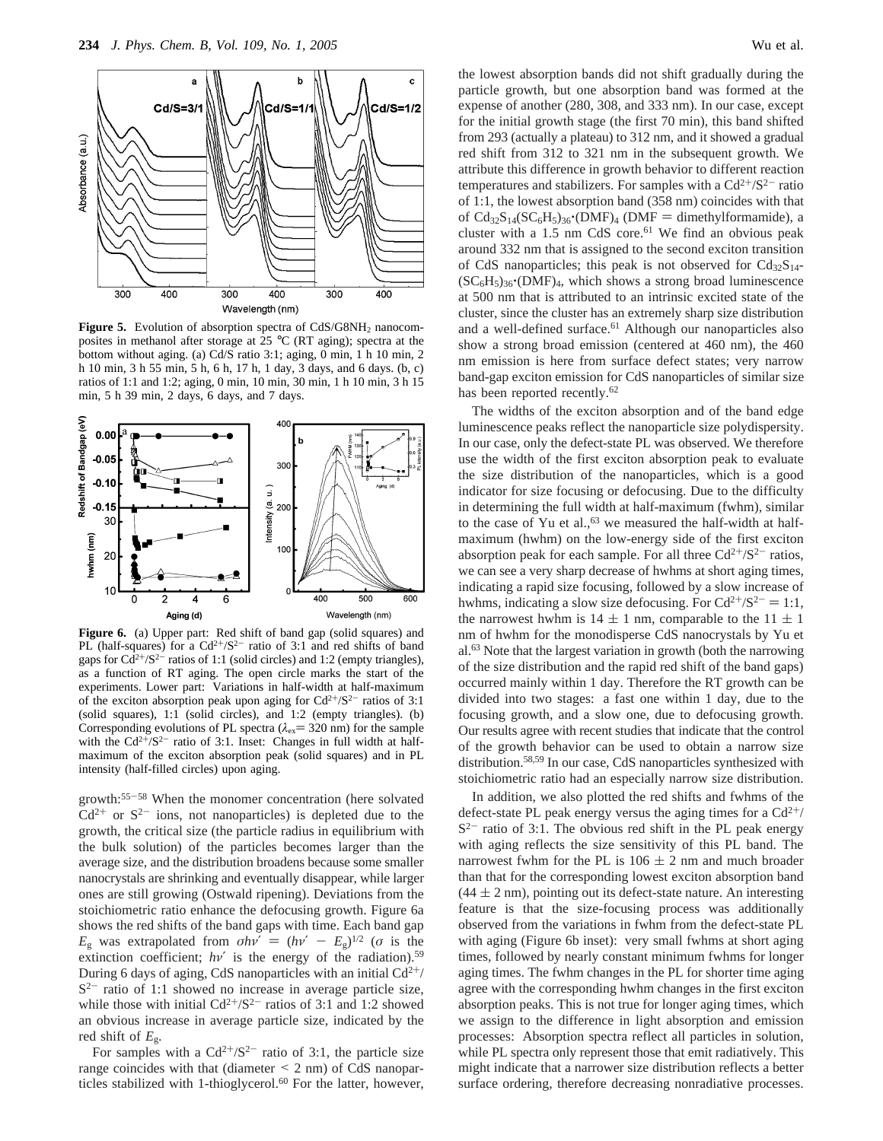

**Figure 5.** Evolution of absorption spectra of CdS/G8NH<sub>2</sub> nanocomposites in methanol after storage at 25 °C (RT aging); spectra at the bottom without aging. (a) Cd/S ratio 3:1; aging, 0 min, 1 h 10 min, 2 h 10 min, 3 h 55 min, 5 h, 6 h, 17 h, 1 day, 3 days, and 6 days. (b, c) ratios of 1:1 and 1:2; aging, 0 min, 10 min, 30 min, 1 h 10 min, 3 h 15 min, 5 h 39 min, 2 days, 6 days, and 7 days.



Figure 6. (a) Upper part: Red shift of band gap (solid squares) and PL (half-squares) for a  $Cd^{2+}/S^{2-}$  ratio of 3:1 and red shifts of band gaps for  $Cd^{2+}/S^{2-}$  ratios of 1:1 (solid circles) and 1:2 (empty triangles), as a function of RT aging. The open circle marks the start of the experiments. Lower part: Variations in half-width at half-maximum of the exciton absorption peak upon aging for  $Cd^{2+/}S^{2-}$  ratios of 3:1 (solid squares), 1:1 (solid circles), and 1:2 (empty triangles). (b) Corresponding evolutions of PL spectra ( $\lambda_{ex}$ = 320 nm) for the sample with the  $Cd^{2+}/S^{2-}$  ratio of 3:1. Inset: Changes in full width at halfmaximum of the exciton absorption peak (solid squares) and in PL intensity (half-filled circles) upon aging.

growth:55-<sup>58</sup> When the monomer concentration (here solvated  $Cd^{2+}$  or  $S^{2-}$  ions, not nanoparticles) is depleted due to the growth, the critical size (the particle radius in equilibrium with the bulk solution) of the particles becomes larger than the average size, and the distribution broadens because some smaller nanocrystals are shrinking and eventually disappear, while larger ones are still growing (Ostwald ripening). Deviations from the stoichiometric ratio enhance the defocusing growth. Figure 6a shows the red shifts of the band gaps with time. Each band gap *E*<sub>g</sub> was extrapolated from  $\sigma h v' = (h v' - E_g)^{1/2}$  (*σ* is the extinction coefficient;  $h\nu'$  is the energy of the radiation).<sup>59</sup> During 6 days of aging, CdS nanoparticles with an initial  $Cd^{2+}/$  $S^{2-}$  ratio of 1:1 showed no increase in average particle size, while those with initial  $Cd^{2+/}S^{2-}$  ratios of 3:1 and 1:2 showed an obvious increase in average particle size, indicated by the red shift of *E*g.

For samples with a  $Cd^{2+/}S^{2-}$  ratio of 3:1, the particle size range coincides with that (diameter  $\leq$  2 nm) of CdS nanoparrange coincides with that (diameter  $\leq 2$  nm) of CdS nanoparticles stabilized with 1-thioglycerol.<sup>60</sup> For the latter, however, the lowest absorption bands did not shift gradually during the particle growth, but one absorption band was formed at the expense of another (280, 308, and 333 nm). In our case, except for the initial growth stage (the first 70 min), this band shifted from 293 (actually a plateau) to 312 nm, and it showed a gradual red shift from 312 to 321 nm in the subsequent growth. We attribute this difference in growth behavior to different reaction temperatures and stabilizers. For samples with a  $Cd^{2+}/S^{2-}$  ratio of 1:1, the lowest absorption band (358 nm) coincides with that of  $Cd_{32}S_{14}(SC_6H_5)_{36}$ <sup>(</sup>(DMF)<sub>4</sub> (DMF = dimethylformamide), a cluster with a 1.5 nm CdS core.<sup>61</sup> We find an obvious peak around 332 nm that is assigned to the second exciton transition of CdS nanoparticles; this peak is not observed for  $Cd_{32}S_{14}$ - $(SC<sub>6</sub>H<sub>5</sub>)<sub>36</sub>$ <sup>\*</sup>(DMF)<sub>4</sub>, which shows a strong broad luminescence at 500 nm that is attributed to an intrinsic excited state of the cluster, since the cluster has an extremely sharp size distribution and a well-defined surface.<sup>61</sup> Although our nanoparticles also show a strong broad emission (centered at 460 nm), the 460 nm emission is here from surface defect states; very narrow band-gap exciton emission for CdS nanoparticles of similar size has been reported recently.<sup>62</sup>

The widths of the exciton absorption and of the band edge luminescence peaks reflect the nanoparticle size polydispersity. In our case, only the defect-state PL was observed. We therefore use the width of the first exciton absorption peak to evaluate the size distribution of the nanoparticles, which is a good indicator for size focusing or defocusing. Due to the difficulty in determining the full width at half-maximum (fwhm), similar to the case of Yu et al.,<sup>63</sup> we measured the half-width at halfmaximum (hwhm) on the low-energy side of the first exciton absorption peak for each sample. For all three  $Cd^{2+}/S^{2-}$  ratios, we can see a very sharp decrease of hwhms at short aging times, indicating a rapid size focusing, followed by a slow increase of hwhms, indicating a slow size defocusing. For  $Cd^{2+/}S^{2-} = 1:1$ , the narrowest hwhm is  $14 \pm 1$  nm, comparable to the  $11 \pm 1$ nm of hwhm for the monodisperse CdS nanocrystals by Yu et al.63 Note that the largest variation in growth (both the narrowing of the size distribution and the rapid red shift of the band gaps) occurred mainly within 1 day. Therefore the RT growth can be divided into two stages: a fast one within 1 day, due to the focusing growth, and a slow one, due to defocusing growth. Our results agree with recent studies that indicate that the control of the growth behavior can be used to obtain a narrow size distribution.58,59 In our case, CdS nanoparticles synthesized with stoichiometric ratio had an especially narrow size distribution.

In addition, we also plotted the red shifts and fwhms of the defect-state PL peak energy versus the aging times for a  $Cd^{2+}/$  $S^{2-}$  ratio of 3:1. The obvious red shift in the PL peak energy with aging reflects the size sensitivity of this PL band. The narrowest fwhm for the PL is  $106 \pm 2$  nm and much broader than that for the corresponding lowest exciton absorption band  $(44 \pm 2 \text{ nm})$ , pointing out its defect-state nature. An interesting feature is that the size-focusing process was additionally observed from the variations in fwhm from the defect-state PL with aging (Figure 6b inset): very small fwhms at short aging times, followed by nearly constant minimum fwhms for longer aging times. The fwhm changes in the PL for shorter time aging agree with the corresponding hwhm changes in the first exciton absorption peaks. This is not true for longer aging times, which we assign to the difference in light absorption and emission processes: Absorption spectra reflect all particles in solution, while PL spectra only represent those that emit radiatively. This might indicate that a narrower size distribution reflects a better surface ordering, therefore decreasing nonradiative processes.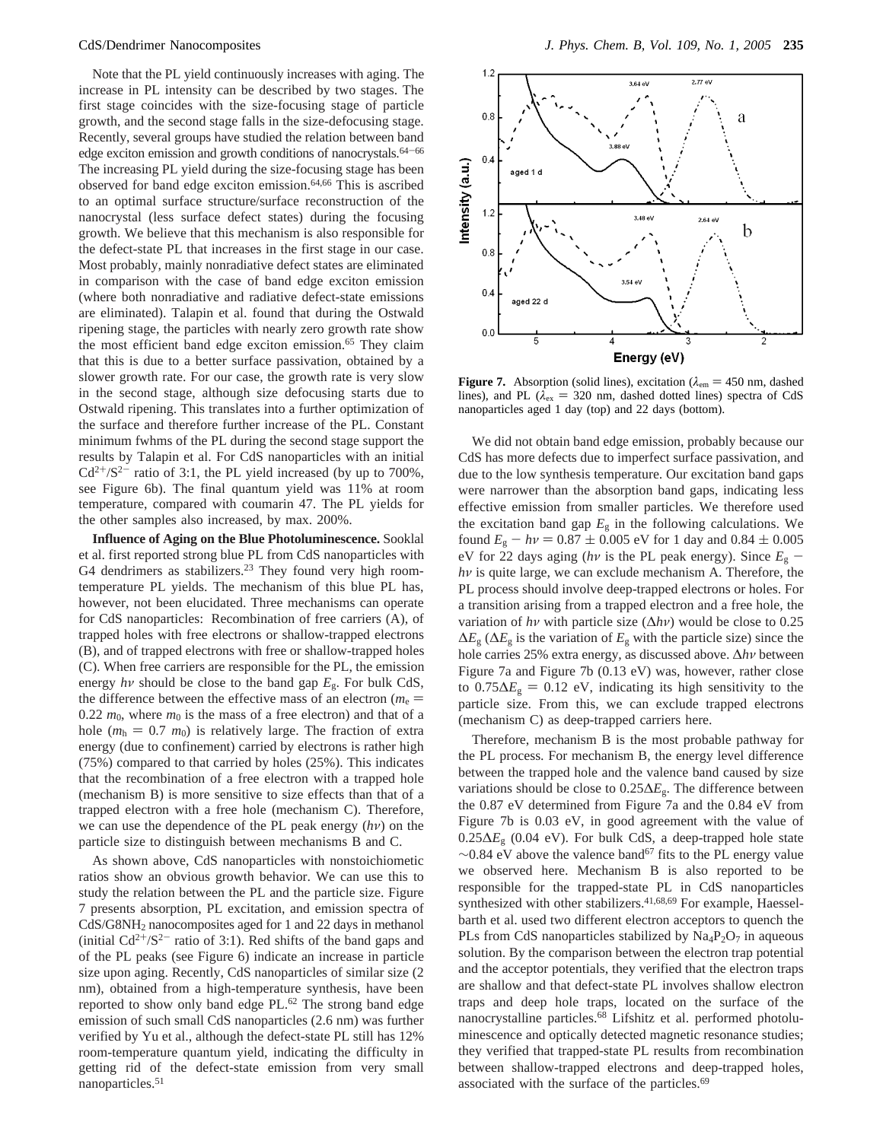Note that the PL yield continuously increases with aging. The increase in PL intensity can be described by two stages. The first stage coincides with the size-focusing stage of particle growth, and the second stage falls in the size-defocusing stage. Recently, several groups have studied the relation between band edge exciton emission and growth conditions of nanocrystals. $64-66$ The increasing PL yield during the size-focusing stage has been observed for band edge exciton emission.64,66 This is ascribed to an optimal surface structure/surface reconstruction of the nanocrystal (less surface defect states) during the focusing growth. We believe that this mechanism is also responsible for the defect-state PL that increases in the first stage in our case. Most probably, mainly nonradiative defect states are eliminated in comparison with the case of band edge exciton emission (where both nonradiative and radiative defect-state emissions are eliminated). Talapin et al. found that during the Ostwald ripening stage, the particles with nearly zero growth rate show the most efficient band edge exciton emission.<sup>65</sup> They claim that this is due to a better surface passivation, obtained by a slower growth rate. For our case, the growth rate is very slow in the second stage, although size defocusing starts due to Ostwald ripening. This translates into a further optimization of the surface and therefore further increase of the PL. Constant minimum fwhms of the PL during the second stage support the results by Talapin et al. For CdS nanoparticles with an initial  $Cd^{2+/}S^{2-}$  ratio of 3:1, the PL yield increased (by up to 700%, see Figure 6b). The final quantum yield was 11% at room temperature, compared with coumarin 47. The PL yields for the other samples also increased, by max. 200%.

**Influence of Aging on the Blue Photoluminescence.** Sooklal et al. first reported strong blue PL from CdS nanoparticles with G4 dendrimers as stabilizers. $23$  They found very high roomtemperature PL yields. The mechanism of this blue PL has, however, not been elucidated. Three mechanisms can operate for CdS nanoparticles: Recombination of free carriers (A), of trapped holes with free electrons or shallow-trapped electrons (B), and of trapped electrons with free or shallow-trapped holes (C). When free carriers are responsible for the PL, the emission energy  $h\nu$  should be close to the band gap  $E_{\rm g}$ . For bulk CdS, the difference between the effective mass of an electron ( $m_e$  =  $0.22 m_0$ , where  $m_0$  is the mass of a free electron) and that of a hole ( $m_h = 0.7$   $m_0$ ) is relatively large. The fraction of extra energy (due to confinement) carried by electrons is rather high (75%) compared to that carried by holes (25%). This indicates that the recombination of a free electron with a trapped hole (mechanism B) is more sensitive to size effects than that of a trapped electron with a free hole (mechanism C). Therefore, we can use the dependence of the PL peak energy (*hν*) on the particle size to distinguish between mechanisms B and C.

As shown above, CdS nanoparticles with nonstoichiometic ratios show an obvious growth behavior. We can use this to study the relation between the PL and the particle size. Figure 7 presents absorption, PL excitation, and emission spectra of CdS/G8NH2 nanocomposites aged for 1 and 22 days in methanol (initial  $Cd^{2+}/S^{2-}$  ratio of 3:1). Red shifts of the band gaps and of the PL peaks (see Figure 6) indicate an increase in particle size upon aging. Recently, CdS nanoparticles of similar size (2 nm), obtained from a high-temperature synthesis, have been reported to show only band edge PL.62 The strong band edge emission of such small CdS nanoparticles (2.6 nm) was further verified by Yu et al., although the defect-state PL still has 12% room-temperature quantum yield, indicating the difficulty in getting rid of the defect-state emission from very small nanoparticles.51



**Figure 7.** Absorption (solid lines), excitation ( $\lambda_{em} = 450$  nm, dashed lines), and PL ( $\lambda_{\rm ex}$  = 320 nm, dashed dotted lines) spectra of CdS nanoparticles aged 1 day (top) and 22 days (bottom).

We did not obtain band edge emission, probably because our CdS has more defects due to imperfect surface passivation, and due to the low synthesis temperature. Our excitation band gaps were narrower than the absorption band gaps, indicating less effective emission from smaller particles. We therefore used the excitation band gap  $E<sub>g</sub>$  in the following calculations. We found  $E_g - hv = 0.87 \pm 0.005$  eV for 1 day and  $0.84 \pm 0.005$ eV for 22 days aging ( $h\nu$  is the PL peak energy). Since  $E_{\rm g}$  – *hν* is quite large, we can exclude mechanism A. Therefore, the PL process should involve deep-trapped electrons or holes. For a transition arising from a trapped electron and a free hole, the variation of *hν* with particle size (∆*hν*) would be close to 0.25  $\Delta E_{\rm g}$  ( $\Delta E_{\rm g}$  is the variation of  $E_{\rm g}$  with the particle size) since the hole carries 25% extra energy, as discussed above. ∆*hν* between Figure 7a and Figure 7b (0.13 eV) was, however, rather close to  $0.75\Delta E_g = 0.12$  eV, indicating its high sensitivity to the particle size. From this, we can exclude trapped electrons (mechanism C) as deep-trapped carriers here.

Therefore, mechanism B is the most probable pathway for the PL process. For mechanism B, the energy level difference between the trapped hole and the valence band caused by size variations should be close to 0.25∆*E*g. The difference between the 0.87 eV determined from Figure 7a and the 0.84 eV from Figure 7b is 0.03 eV, in good agreement with the value of 0.25∆*E*<sup>g</sup> (0.04 eV). For bulk CdS, a deep-trapped hole state  $\sim$ 0.84 eV above the valence band<sup>67</sup> fits to the PL energy value we observed here. Mechanism B is also reported to be responsible for the trapped-state PL in CdS nanoparticles synthesized with other stabilizers.<sup>41,68,69</sup> For example, Haesselbarth et al. used two different electron acceptors to quench the PLs from CdS nanoparticles stabilized by  $\text{Na}_4\text{P}_2\text{O}_7$  in aqueous solution. By the comparison between the electron trap potential and the acceptor potentials, they verified that the electron traps are shallow and that defect-state PL involves shallow electron traps and deep hole traps, located on the surface of the nanocrystalline particles.68 Lifshitz et al. performed photoluminescence and optically detected magnetic resonance studies; they verified that trapped-state PL results from recombination between shallow-trapped electrons and deep-trapped holes, associated with the surface of the particles.<sup>69</sup>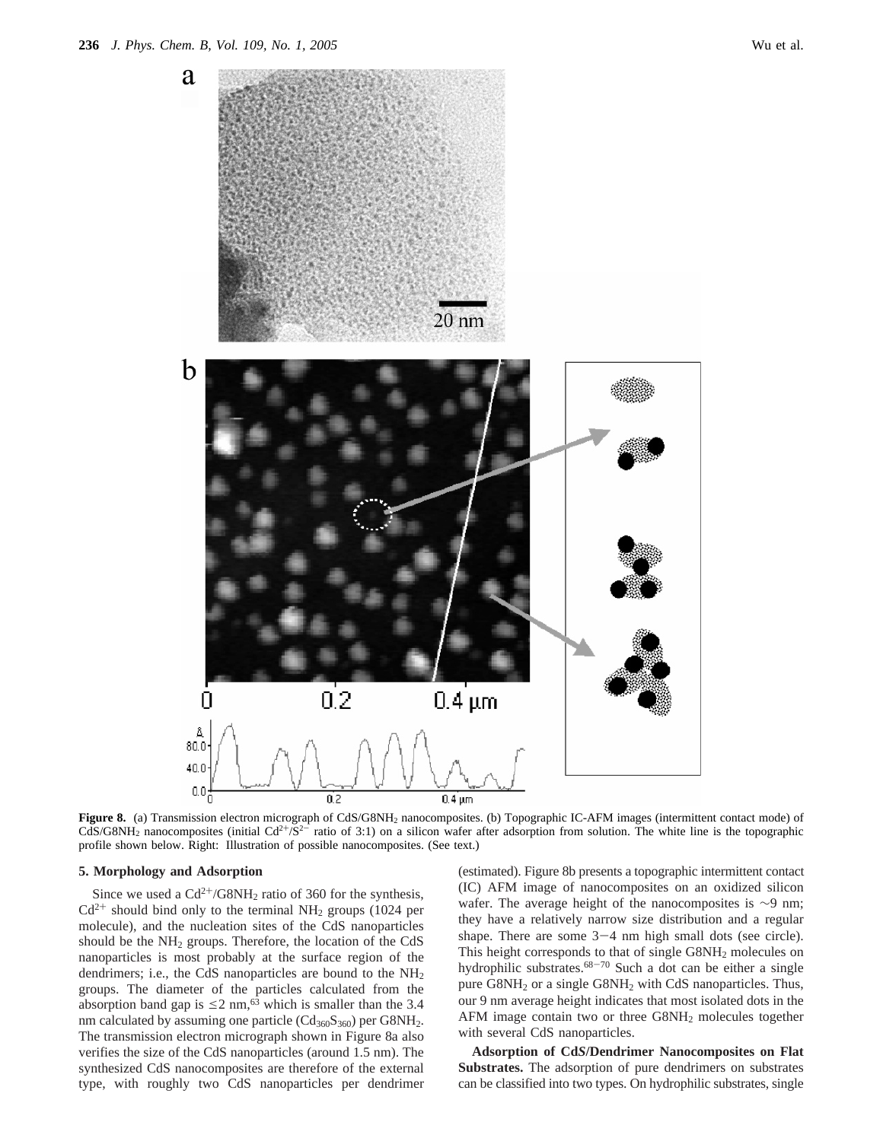

Figure 8. (a) Transmission electron micrograph of CdS/G8NH<sub>2</sub> nanocomposites. (b) Topographic IC-AFM images (intermittent contact mode) of CdS/G8NH<sub>2</sub> nanocomposites (initial Cd<sup>2+</sup>/S<sup>2-</sup> ratio of 3:1) on a silicon wafer after adsorption from solution. The white line is the topographic profile shown below. Right: Illustration of possible nanocomposites. (See text.)

### **5. Morphology and Adsorption**

Since we used a  $Cd^{2+}/G8NH_2$  ratio of 360 for the synthesis,  $Cd^{2+}$  should bind only to the terminal NH<sub>2</sub> groups (1024 per molecule), and the nucleation sites of the CdS nanoparticles should be the  $NH<sub>2</sub>$  groups. Therefore, the location of the CdS nanoparticles is most probably at the surface region of the dendrimers; i.e., the CdS nanoparticles are bound to the NH2 groups. The diameter of the particles calculated from the absorption band gap is  $\leq 2$  nm,<sup>63</sup> which is smaller than the 3.4 nm calculated by assuming one particle  $(Cd_{360}S_{360})$  per G8NH<sub>2</sub>. The transmission electron micrograph shown in Figure 8a also verifies the size of the CdS nanoparticles (around 1.5 nm). The synthesized CdS nanocomposites are therefore of the external type, with roughly two CdS nanoparticles per dendrimer

(estimated). Figure 8b presents a topographic intermittent contact (IC) AFM image of nanocomposites on an oxidized silicon wafer. The average height of the nanocomposites is ∼9 nm; they have a relatively narrow size distribution and a regular shape. There are some  $3-4$  nm high small dots (see circle). This height corresponds to that of single G8NH<sub>2</sub> molecules on hydrophilic substrates.<sup>68-70</sup> Such a dot can be either a single pure G8NH2 or a single G8NH2 with CdS nanoparticles. Thus, our 9 nm average height indicates that most isolated dots in the AFM image contain two or three G8NH2 molecules together with several CdS nanoparticles.

**Adsorption of Cd***S***/Dendrimer Nanocomposites on Flat Substrates.** The adsorption of pure dendrimers on substrates can be classified into two types. On hydrophilic substrates, single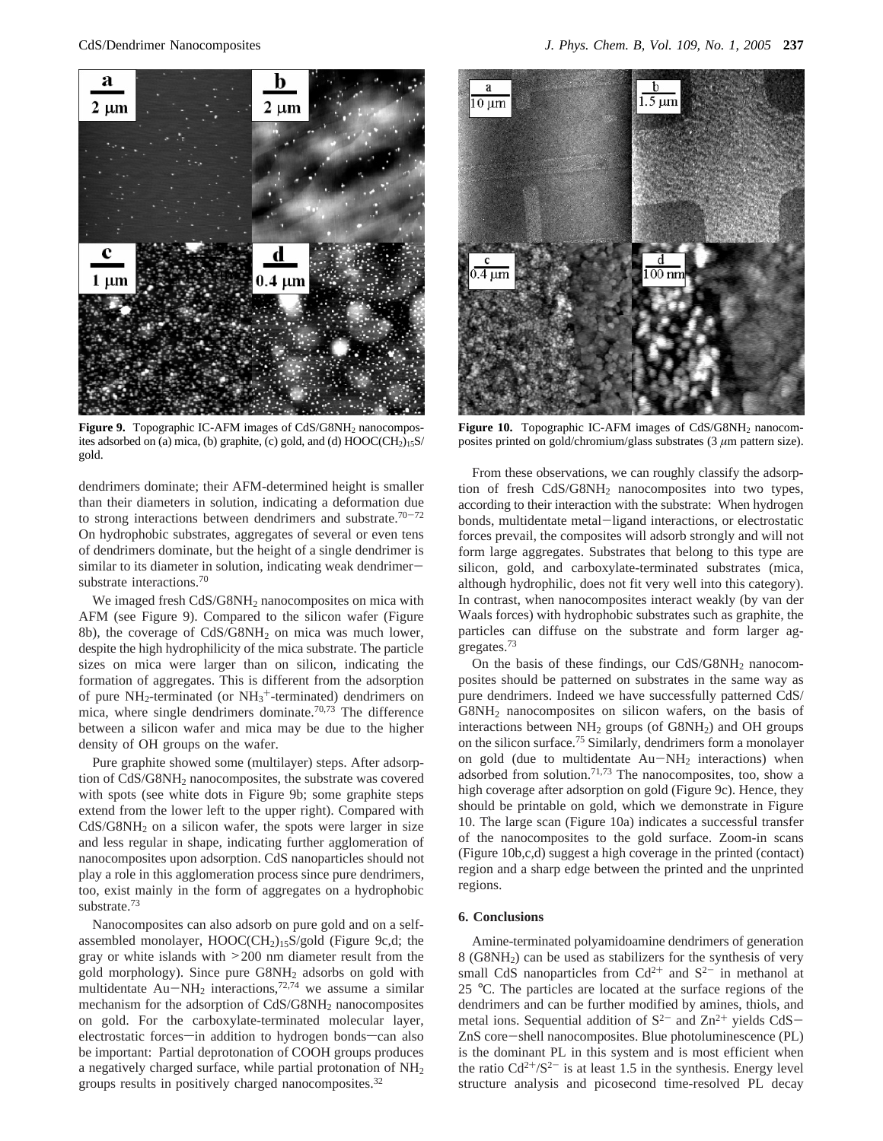

Figure 9. Topographic IC-AFM images of CdS/G8NH<sub>2</sub> nanocomposites adsorbed on (a) mica, (b) graphite, (c) gold, and (d)  $HOOC(CH<sub>2</sub>)<sub>15</sub>S$ / gold.

dendrimers dominate; their AFM-determined height is smaller than their diameters in solution, indicating a deformation due to strong interactions between dendrimers and substrate.<sup>70-72</sup> On hydrophobic substrates, aggregates of several or even tens of dendrimers dominate, but the height of a single dendrimer is similar to its diameter in solution, indicating weak dendrimersubstrate interactions.<sup>70</sup>

We imaged fresh CdS/G8NH<sub>2</sub> nanocomposites on mica with AFM (see Figure 9). Compared to the silicon wafer (Figure 8b), the coverage of CdS/G8NH2 on mica was much lower, despite the high hydrophilicity of the mica substrate. The particle sizes on mica were larger than on silicon, indicating the formation of aggregates. This is different from the adsorption of pure  $NH_2$ -terminated (or  $NH_3^+$ -terminated) dendrimers on mica, where single dendrimers dominate.<sup>70,73</sup> The difference between a silicon wafer and mica may be due to the higher density of OH groups on the wafer.

Pure graphite showed some (multilayer) steps. After adsorption of CdS/G8NH2 nanocomposites, the substrate was covered with spots (see white dots in Figure 9b; some graphite steps extend from the lower left to the upper right). Compared with  $CdS/G8NH<sub>2</sub>$  on a silicon wafer, the spots were larger in size and less regular in shape, indicating further agglomeration of nanocomposites upon adsorption. CdS nanoparticles should not play a role in this agglomeration process since pure dendrimers, too, exist mainly in the form of aggregates on a hydrophobic substrate.73

Nanocomposites can also adsorb on pure gold and on a selfassembled monolayer, HOOC(CH2)15S/gold (Figure 9c,d; the gray or white islands with >200 nm diameter result from the gold morphology). Since pure G8NH2 adsorbs on gold with multidentate  $Au-NH_2$  interactions,<sup>72,74</sup> we assume a similar mechanism for the adsorption of CdS/G8NH2 nanocomposites on gold. For the carboxylate-terminated molecular layer, electrostatic forces-in addition to hydrogen bonds-can also be important: Partial deprotonation of COOH groups produces a negatively charged surface, while partial protonation of  $NH<sub>2</sub>$ groups results in positively charged nanocomposites.32



Figure 10. Topographic IC-AFM images of CdS/G8NH<sub>2</sub> nanocomposites printed on gold/chromium/glass substrates (3 *µ*m pattern size).

From these observations, we can roughly classify the adsorption of fresh CdS/G8NH2 nanocomposites into two types, according to their interaction with the substrate: When hydrogen bonds, multidentate metal-ligand interactions, or electrostatic forces prevail, the composites will adsorb strongly and will not form large aggregates. Substrates that belong to this type are silicon, gold, and carboxylate-terminated substrates (mica, although hydrophilic, does not fit very well into this category). In contrast, when nanocomposites interact weakly (by van der Waals forces) with hydrophobic substrates such as graphite, the particles can diffuse on the substrate and form larger aggregates.73

On the basis of these findings, our  $CdS/G8NH<sub>2</sub>$  nanocomposites should be patterned on substrates in the same way as pure dendrimers. Indeed we have successfully patterned CdS/ G8NH2 nanocomposites on silicon wafers, on the basis of interactions between NH2 groups (of G8NH2) and OH groups on the silicon surface.75 Similarly, dendrimers form a monolayer on gold (due to multidentate  $Au-NH_2$  interactions) when adsorbed from solution.<sup>71,73</sup> The nanocomposites, too, show a high coverage after adsorption on gold (Figure 9c). Hence, they should be printable on gold, which we demonstrate in Figure 10. The large scan (Figure 10a) indicates a successful transfer of the nanocomposites to the gold surface. Zoom-in scans (Figure 10b,c,d) suggest a high coverage in the printed (contact) region and a sharp edge between the printed and the unprinted regions.

### **6. Conclusions**

Amine-terminated polyamidoamine dendrimers of generation 8 (G8NH2) can be used as stabilizers for the synthesis of very small CdS nanoparticles from  $Cd^{2+}$  and  $S^{2-}$  in methanol at 25 °C. The particles are located at the surface regions of the dendrimers and can be further modified by amines, thiols, and metal ions. Sequential addition of  $S^{2-}$  and  $Zn^{2+}$  yields CdS-ZnS core-shell nanocomposites. Blue photoluminescence (PL) is the dominant PL in this system and is most efficient when the ratio  $Cd^{2+/}S^{2-}$  is at least 1.5 in the synthesis. Energy level structure analysis and picosecond time-resolved PL decay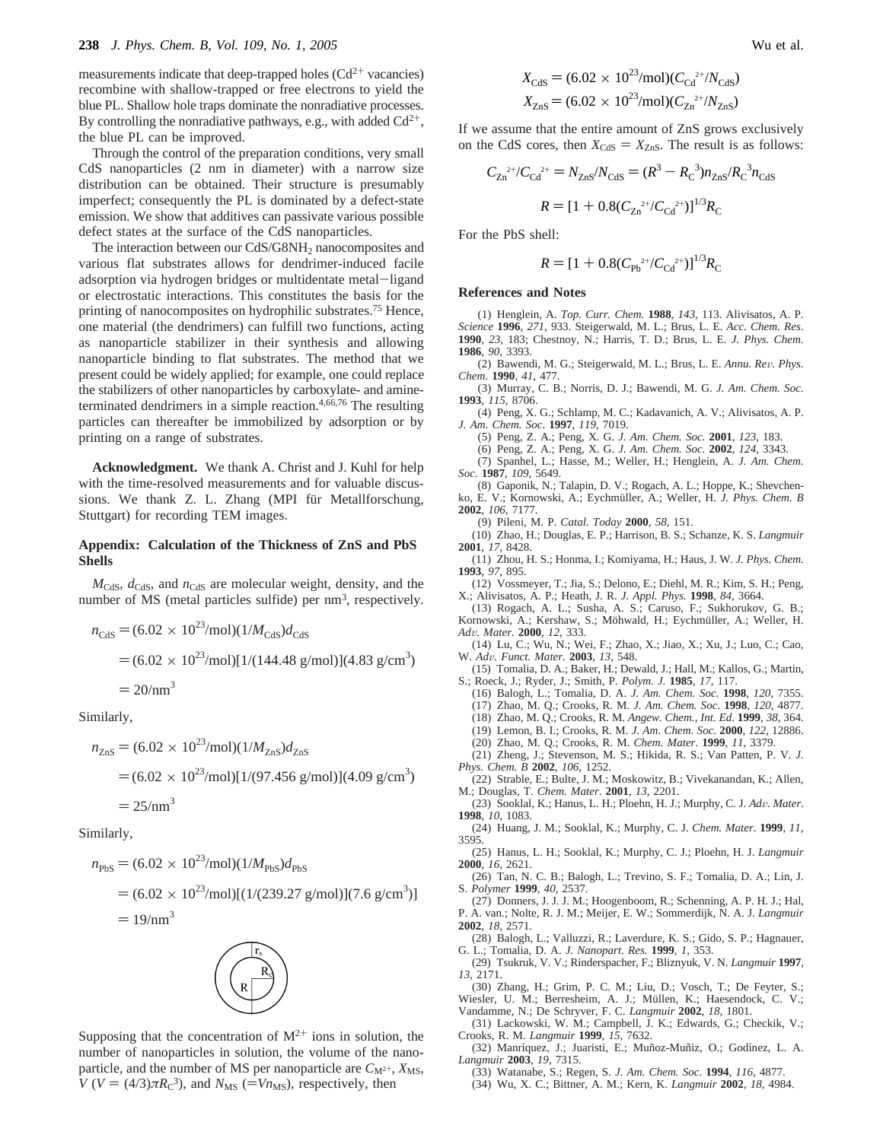measurements indicate that deep-trapped holes  $(Cd^{2+})$  vacancies) recombine with shallow-trapped or free electrons to yield the blue PL. Shallow hole traps dominate the nonradiative processes. By controlling the nonradiative pathways, e.g., with added  $Cd^{2+}$ , the blue PL can be improved.

Through the control of the preparation conditions, very small CdS nanoparticles (2 nm in diameter) with a narrow size distribution can be obtained. Their structure is presumably imperfect; consequently the PL is dominated by a defect-state emission. We show that additives can passivate various possible defect states at the surface of the CdS nanoparticles.

The interaction between our CdS/G8NH<sub>2</sub> nanocomposites and various flat substrates allows for dendrimer-induced facile adsorption via hydrogen bridges or multidentate metal-ligand or electrostatic interactions. This constitutes the basis for the printing of nanocomposites on hydrophilic substrates.<sup>75</sup> Hence, one material (the dendrimers) can fulfill two functions, acting as nanoparticle stabilizer in their synthesis and allowing nanoparticle binding to flat substrates. The method that we present could be widely applied; for example, one could replace the stabilizers of other nanoparticles by carboxylate- and amineterminated dendrimers in a simple reaction.4,66,76 The resulting particles can thereafter be immobilized by adsorption or by printing on a range of substrates.

**Acknowledgment.** We thank A. Christ and J. Kuhl for help with the time-resolved measurements and for valuable discussions. We thank Z. L. Zhang (MPI für Metallforschung, Stuttgart) for recording TEM images.

### **Appendix: Calculation of the Thickness of ZnS and PbS Shells**

 $M<sub>CdS</sub>$ ,  $d<sub>CdS</sub>$ , and  $n<sub>CdS</sub>$  are molecular weight, density, and the number of MS (metal particles sulfide) per  $nm<sup>3</sup>$ , respectively.

$$
n_{\text{CdS}} = (6.02 \times 10^{23} / \text{mol})(1 / M_{\text{CdS}}) d_{\text{CdS}}
$$
  
= (6.02 \times 10^{23} / \text{mol})[1/(144.48 \text{ g/mol})](4.83 \text{ g/cm}^3)  
= 20 / \text{nm}^3

Similarly,

$$
n_{\text{ZnS}} = (6.02 \times 10^{23} / \text{mol})(1/M_{\text{ZnS}})d_{\text{ZnS}}
$$
  
= (6.02 \times 10^{23} / \text{mol})[1/(97.456 \text{ g/mol})](4.09 \text{ g/cm}^3)  
= 25 / \text{nm}^3

Similarly,

$$
n_{\rm PbS} = (6.02 \times 10^{23} / \text{mol})(1 / M_{\rm PbS}) d_{\rm PbS}
$$
  
= (6.02 \times 10^{23} / \text{mol})[(1/(239.27 \text{ g/mol})](7.6 \text{ g/cm}^3)]  
= 19 / \text{nm}^3



Supposing that the concentration of  $M^{2+}$  ions in solution, the number of nanoparticles in solution, the volume of the nanoparticle, and the number of MS per nanoparticle are  $C_{\rm M^{2+}}$ ,  $X_{\rm MS}$ ,  $V (V = (4/3)\pi Rc^3)$ , and  $N_{MS} (= Vn_{MS})$ , respectively, then

$$
X_{\text{CdS}} = (6.02 \times 10^{23} / \text{mol})(C_{\text{Cd}}^{2+} / N_{\text{CdS}})
$$
  

$$
X_{\text{ZnS}} = (6.02 \times 10^{23} / \text{mol})(C_{\text{Zn}}^{2+} / N_{\text{ZnS}})
$$

If we assume that the entire amount of ZnS grows exclusively on the CdS cores, then  $X_{\text{CdS}} = X_{\text{ZnS}}$ . The result is as follows:

$$
C_{\text{Zn}}^{2+}/C_{\text{Cd}}^{2+} = N_{\text{ZnS}}/N_{\text{CdS}} = (R^3 - R_{\text{C}}^3)n_{\text{ZnS}}/R_{\text{C}}^3n_{\text{CdS}}
$$

$$
R = [1 + 0.8(C_{\text{Zn}}^{2+}/C_{\text{Cd}}^{2+})]^{1/3}R_{\text{C}}
$$

For the PbS shell:

$$
R = [1 + 0.8(C_{\text{Pb}}^{2+}/C_{\text{Cd}}^{2+})]^{1/3} R_{\text{C}}
$$

#### **References and Notes**

(1) Henglein, A. *Top. Curr. Chem.* **1988**, *143*, 113. Alivisatos, A. P. *Science* **1996**, *271*, 933. Steigerwald, M. L.; Brus, L. E. *Acc. Chem. Res*. **1990**, *23*, 183; Chestnoy, N.; Harris, T. D.; Brus, L. E. *J. Phys. Chem.* **1986**, *90*, 3393.

- (2) Bawendi, M. G.; Steigerwald, M. L.; Brus, L. E. *Annu. Re*V*. Phys. Chem.* **1990**, *41*, 477.
- (3) Murray, C. B.; Norris, D. J.; Bawendi, M. G. *J. Am. Chem. Soc.* **1993**, *115*, 8706.

(4) Peng, X. G.; Schlamp, M. C.; Kadavanich, A. V.; Alivisatos, A. P. *J. Am. Chem. Soc*. **1997**, *119*, 7019.

(5) Peng, Z. A.; Peng, X. G. *J. Am. Chem. Soc.* **2001**, *123*, 183.

(6) Peng, Z. A.; Peng, X. G. *J. Am. Chem. Soc.* **2002**, *124*, 3343.

(7) Spanhel, L.; Hasse, M.; Weller, H.; Henglein, A. *J. Am. Chem. Soc.* **1987**, *109*, 5649.

(8) Gaponik, N.; Talapin, D. V.; Rogach, A. L.; Hoppe, K.; Shevchenko, E. V.; Kornowski, A.; Eychmüller, A.; Weller, H. *J. Phys. Chem. B* **2002**, *106*, 7177.

(9) Pileni, M. P. *Catal. Today* **2000**, *58*, 151.

- (10) Zhao, H.; Douglas, E. P.; Harrison, B. S.; Schanze, K. S. *Langmuir*
- **2001**, *17*, 8428. (11) Zhou, H. S.; Honma, I.; Komiyama, H.; Haus, J. W. *J. Phys. Chem*.
- **1993**, *97*, 895. (12) Vossmeyer, T.; Jia, S.; Delono, E.; Diehl, M. R.; Kim, S. H.; Peng, X.; Alivisatos, A. P.; Heath, J. R. *J. Appl. Phys.* **1998**, *84*, 3664.
- (13) Rogach, A. L.; Susha, A. S.; Caruso, F.; Sukhorukov, G. B.; Kornowski, A.; Kershaw, S.; Möhwald, H.; Eychmüller, A.; Weller, H.
- *Ad*V*. Mater*. **<sup>2000</sup>**, *<sup>12</sup>*, 333.

(14) Lu, C.; Wu, N.; Wei, F.; Zhao, X.; Jiao, X.; Xu, J.; Luo, C.; Cao, W. *Ad*V*. Funct. Mater.* **<sup>2003</sup>**, *<sup>13</sup>*, 548.

- (15) Tomalia, D. A.; Baker, H.; Dewald, J.; Hall, M.; Kallos, G.; Martin, S.; Roeck, J.; Ryder, J.; Smith, P. *Polym. J.* **1985**, *17*, 117.
	- (16) Balogh, L.; Tomalia, D. A. *J. Am. Chem. Soc.* **1998**, *120*, 7355.
	- (17) Zhao, M. Q.; Crooks, R. M. *J. Am. Chem. Soc*. **1998**, *120*, 4877.
	- (18) Zhao, M. Q.; Crooks, R. M. *Angew. Chem., Int. Ed*. **1999**, *38*, 364.
	- (19) Lemon, B. I.; Crooks, R. M. *J. Am. Chem. Soc.* **2000**, *122*, 12886.
	- (20) Zhao, M. Q.; Crooks, R. M. *Chem. Mater*. **1999**, *11*, 3379.
- (21) Zheng, J.; Stevenson, M. S.; Hikida, R. S.; Van Patten, P. V. *J. Phys. Chem. B* **2002**, *106*, 1252.
- (22) Strable, E.; Bulte, J. M.; Moskowitz, B.; Vivekanandan, K.; Allen,
- M.; Douglas, T. *Chem. Mater*. **2001**, *13*, 2201. (23) Sooklal, K.; Hanus, L. H.; Ploehn, H. J.; Murphy, C. J. *Ad*V*. Mater*.
- **1998**, *10*, 1083. (24) Huang, J. M.; Sooklal, K.; Murphy, C. J. *Chem. Mater*. **1999**, *11*, 3595.
- (25) Hanus, L. H.; Sooklal, K.; Murphy, C. J.; Ploehn, H. J. *Langmuir* **2000**, *16*, 2621.
- (26) Tan, N. C. B.; Balogh, L.; Trevino, S. F.; Tomalia, D. A.; Lin, J. S. *Polymer* **1999**, *40*, 2537.

(27) Donners, J. J. J. M.; Hoogenboom, R.; Schenning, A. P. H. J.; Hal, P. A. van.; Nolte, R. J. M.; Meijer, E. W.; Sommerdijk, N. A. J. *Langmuir* **2002**, *18*, 2571.

- (28) Balogh, L.; Valluzzi, R.; Laverdure, K. S.; Gido, S. P.; Hagnauer, G. L.; Tomalia, D. A. *J. Nanopart. Res.* **1999**, *1*, 353.
- (29) Tsukruk, V. V.; Rinderspacher, F.; Bliznyuk, V. N. *Langmuir* **1997**, *13*, 2171.
- (30) Zhang, H.; Grim, P. C. M.; Liu, D.; Vosch, T.; De Feyter, S.; Wiesler, U. M.; Berresheim, A. J.; Müllen, K.; Haesendock, C. V.;
- Vandamme, N.; De Schryver, F. C. *Langmuir* **2002**, *18*, 1801.
- (31) Lackowski, W. M.; Campbell, J. K.; Edwards, G.; Checkik, V.; Crooks, R. M. *Langmuir* **1999**, *15*, 7632.
- (32) Manríquez, J.; Juaristi, E.; Muñoz-Muñiz, O.; Godínez, L. A. *Langmuir* **2003**, *19*, 7315.
	- (33) Watanabe, S.; Regen, S. *J. Am. Chem. Soc*. **1994**, *116*, 4877.
	- (34) Wu, X. C.; Bittner, A. M.; Kern, K. *Langmuir* **2002**, *18*, 4984.